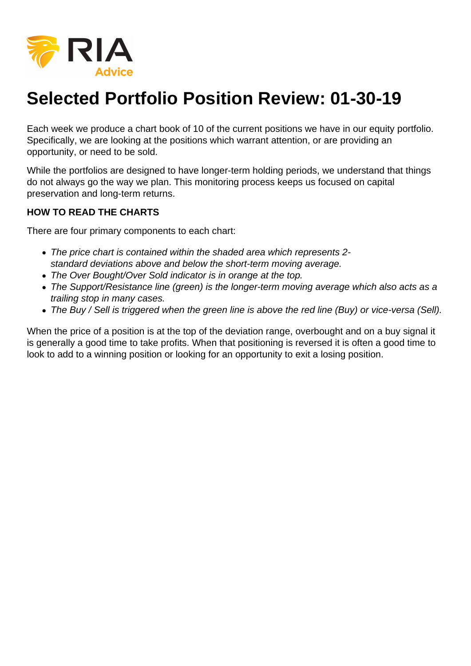

## **Selected Portfolio Position Review: 01-30-19**

Each week we produce a chart book of 10 of the current positions we have in our equity portfolio. Specifically, we are looking at the positions which warrant attention, or are providing an opportunity, or need to be sold.

While the portfolios are designed to have longer-term holding periods, we understand that things do not always go the way we plan. This monitoring process keeps us focused on capital preservation and long-term returns.

## **HOW TO READ THE CHARTS**

There are four primary components to each chart:

- The price chart is contained within the shaded area which represents 2 standard deviations above and below the short-term moving average.
- The Over Bought/Over Sold indicator is in orange at the top.
- The Support/Resistance line (green) is the longer-term moving average which also acts as a trailing stop in many cases.
- The Buy / Sell is triggered when the green line is above the red line (Buy) or vice-versa (Sell).

When the price of a position is at the top of the deviation range, overbought and on a buy signal it is generally a good time to take profits. When that positioning is reversed it is often a good time to look to add to a winning position or looking for an opportunity to exit a losing position.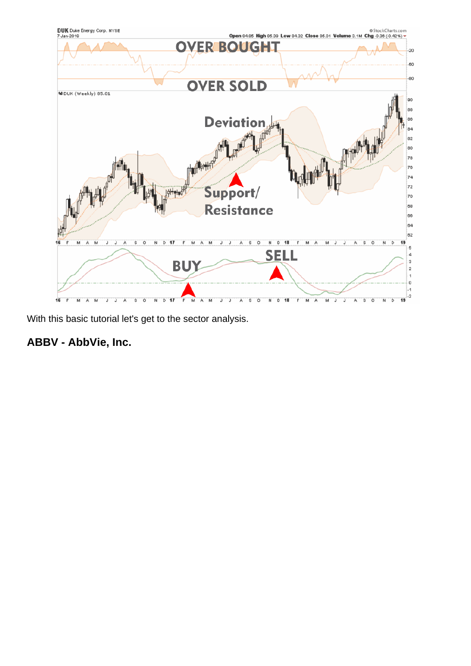With this basic tutorial let's get to the sector analysis.

ABBV - AbbVie, Inc.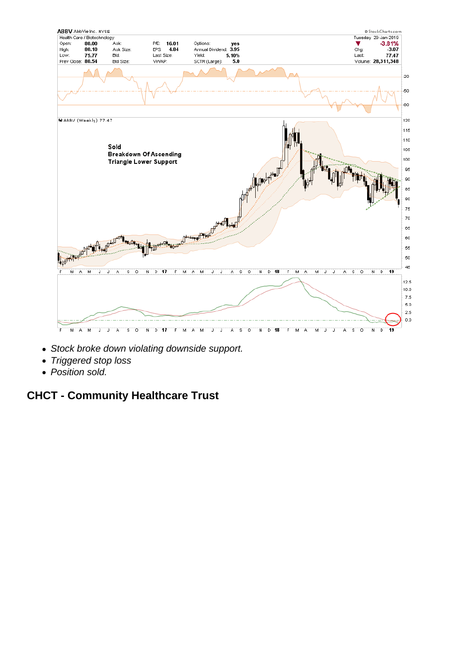- Stock broke down violating downside support.
- Triggered stop loss
- Position sold.

CHCT - Community Healthcare Trust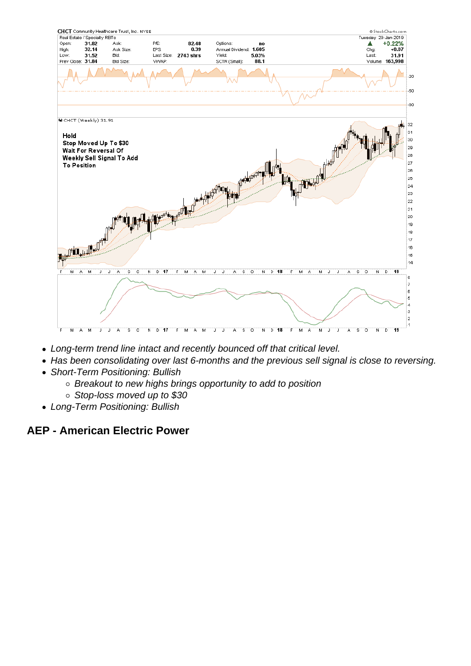- Long-term trend line intact and recently bounced off that critical level.
- Has been consolidating over last 6-months and the previous sell signal is close to reversing.
- Short-Term Positioning: Bullish
	- Breakout to new highs brings opportunity to add to position
	- Stop-loss moved up to \$30
- Long-Term Positioning: Bullish

AEP - American Electric Power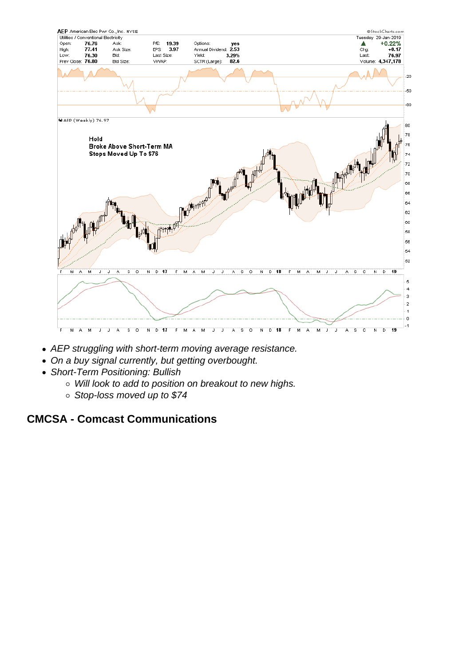- AEP struggling with short-term moving average resistance.
- On a buy signal currently, but getting overbought.
- Short-Term Positioning: Bullish
	- Will look to add to position on breakout to new highs.
	- Stop-loss moved up to \$74

CMCSA - Comcast Communications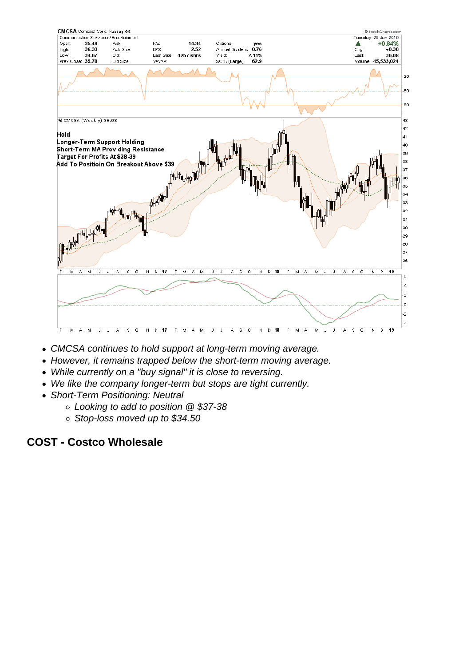- CMCSA continues to hold support at long-term moving average.
- However, it remains trapped below the short-term moving average.
- While currently on a "buy signal" it is close to reversing.
- We like the company longer-term but stops are tight currently.
- Short-Term Positioning: Neutral
	- Looking to add to position @ \$37-38
	- Stop-loss moved up to \$34.50

COST - Costco Wholesale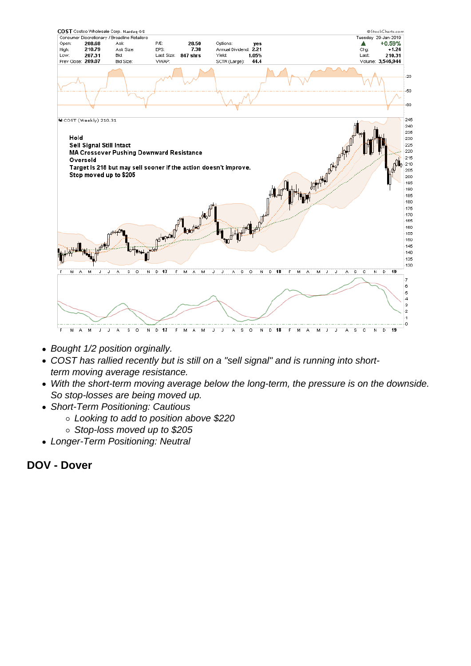- Bought 1/2 position orginally.
- COST has rallied recently but is still on a "sell signal" and is running into shortterm moving average resistance.
- With the short-term moving average below the long-term, the pressure is on the downside. So stop-losses are being moved up.
- Short-Term Positioning: Cautious
	- Looking to add to position above \$220
	- Stop-loss moved up to \$205
- Longer-Term Positioning: Neutral

DOV - Dover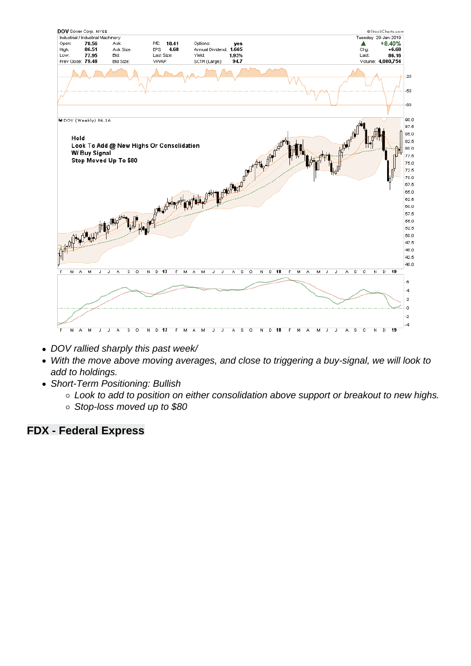- DOV rallied sharply this past week/
- With the move above moving averages, and close to triggering a buy-signal, we will look to add to holdings.
- Short-Term Positioning: Bullish
	- Look to add to position on either consolidation above support or breakout to new highs.
	- Stop-loss moved up to \$80

FDX - Federal Express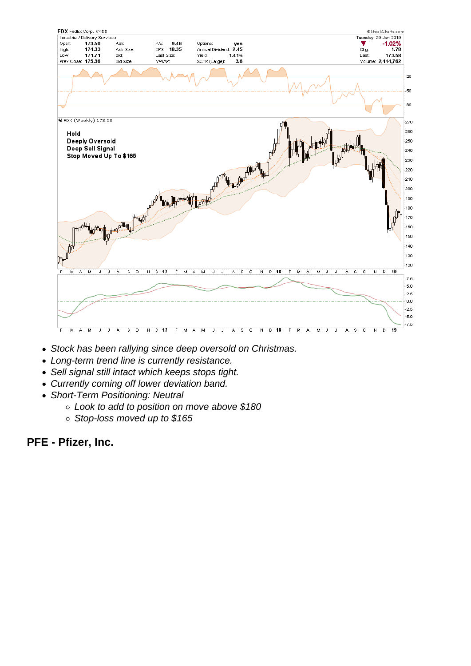- Stock has been rallying since deep oversold on Christmas.
- Long-term trend line is currently resistance.
- Sell signal still intact which keeps stops tight.
- Currently coming off lower deviation band.
- Short-Term Positioning: Neutral
	- Look to add to position on move above \$180
	- Stop-loss moved up to \$165

PFE - Pfizer, Inc.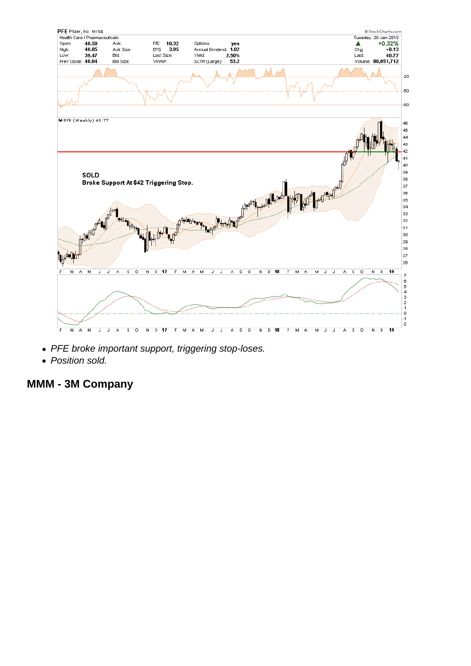- PFE broke important support, triggering stop-loses.
- Position sold.

MMM - 3M Company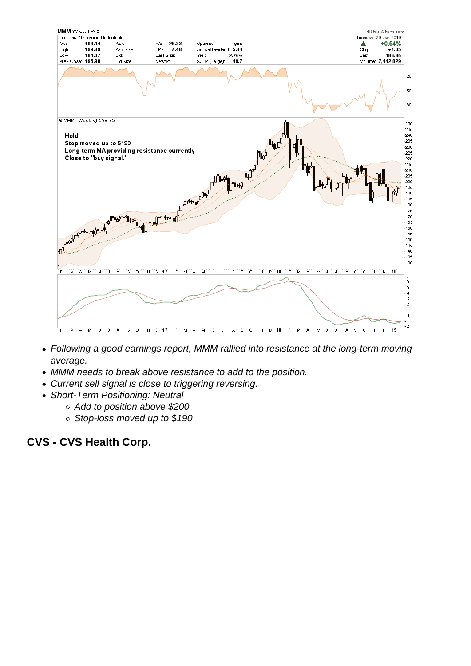- Following a good earnings report, MMM rallied into resistance at the long-term moving average.
- MMM needs to break above resistance to add to the position.
- Current sell signal is close to triggering reversing.
- Short-Term Positioning: Neutral
	- Add to position above \$200
	- Stop-loss moved up to \$190

CVS - CVS Health Corp.